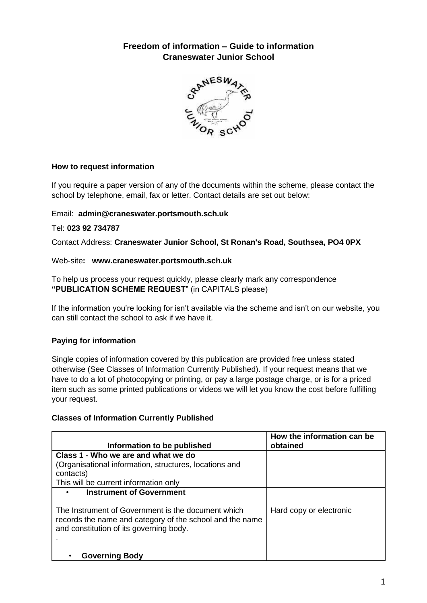# **Freedom of information – Guide to information Craneswater Junior School**



## **How to request information**

If you require a paper version of any of the documents within the scheme, please contact the school by telephone, email, fax or letter. Contact details are set out below:

#### Email: **admin@craneswater.portsmouth.sch.uk**

#### Tel: **023 92 734787**

Contact Address: **Craneswater Junior School, St Ronan's Road, Southsea, PO4 0PX**

## Web-site**: www.craneswater.portsmouth.sch.uk**

To help us process your request quickly, please clearly mark any correspondence **"PUBLICATION SCHEME REQUEST**" (in CAPITALS please)

If the information you're looking for isn't available via the scheme and isn't on our website, you can still contact the school to ask if we have it.

# **Paying for information**

Single copies of information covered by this publication are provided free unless stated otherwise (See Classes of Information Currently Published). If your request means that we have to do a lot of photocopying or printing, or pay a large postage charge, or is for a priced item such as some printed publications or videos we will let you know the cost before fulfilling your request.

#### **Classes of Information Currently Published**

| Information to be published                                                                                                                               | How the information can be<br>obtained |
|-----------------------------------------------------------------------------------------------------------------------------------------------------------|----------------------------------------|
| Class 1 - Who we are and what we do<br>(Organisational information, structures, locations and<br>contacts)                                                |                                        |
| This will be current information only                                                                                                                     |                                        |
| <b>Instrument of Government</b>                                                                                                                           |                                        |
| The Instrument of Government is the document which<br>records the name and category of the school and the name<br>and constitution of its governing body. | Hard copy or electronic                |
| <b>Governing Body</b>                                                                                                                                     |                                        |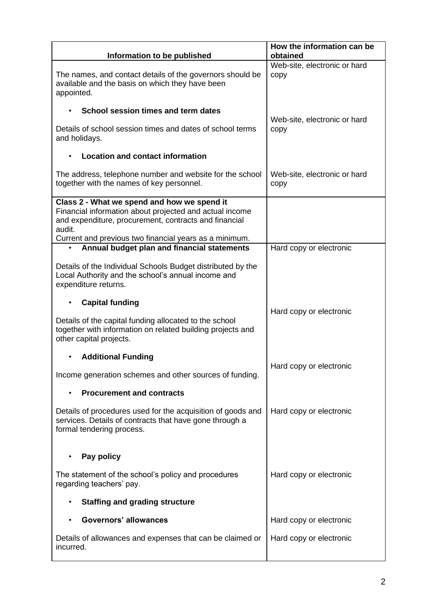| Information to be published                                                                                                                                                                                                         | How the information can be<br>obtained |
|-------------------------------------------------------------------------------------------------------------------------------------------------------------------------------------------------------------------------------------|----------------------------------------|
| The names, and contact details of the governors should be<br>available and the basis on which they have been<br>appointed.                                                                                                          | Web-site, electronic or hard<br>copy   |
| School session times and term dates                                                                                                                                                                                                 | Web-site, electronic or hard           |
| Details of school session times and dates of school terms<br>and holidays.                                                                                                                                                          | copy                                   |
| <b>Location and contact information</b>                                                                                                                                                                                             |                                        |
| The address, telephone number and website for the school<br>together with the names of key personnel.                                                                                                                               | Web-site, electronic or hard<br>copy   |
| Class 2 - What we spend and how we spend it<br>Financial information about projected and actual income<br>and expenditure, procurement, contracts and financial<br>audit.<br>Current and previous two financial years as a minimum. |                                        |
| Annual budget plan and financial statements                                                                                                                                                                                         | Hard copy or electronic                |
| Details of the Individual Schools Budget distributed by the<br>Local Authority and the school's annual income and<br>expenditure returns.                                                                                           |                                        |
| <b>Capital funding</b>                                                                                                                                                                                                              |                                        |
| Details of the capital funding allocated to the school<br>together with information on related building projects and<br>other capital projects.                                                                                     | Hard copy or electronic                |
| <b>Additional Funding</b>                                                                                                                                                                                                           |                                        |
| Income generation schemes and other sources of funding.                                                                                                                                                                             | Hard copy or electronic                |
| <b>Procurement and contracts</b>                                                                                                                                                                                                    |                                        |
| Details of procedures used for the acquisition of goods and<br>services. Details of contracts that have gone through a<br>formal tendering process.                                                                                 | Hard copy or electronic                |
| Pay policy                                                                                                                                                                                                                          |                                        |
| The statement of the school's policy and procedures<br>regarding teachers' pay.                                                                                                                                                     | Hard copy or electronic                |
| <b>Staffing and grading structure</b>                                                                                                                                                                                               |                                        |
| <b>Governors' allowances</b>                                                                                                                                                                                                        | Hard copy or electronic                |
| Details of allowances and expenses that can be claimed or<br>incurred.                                                                                                                                                              | Hard copy or electronic                |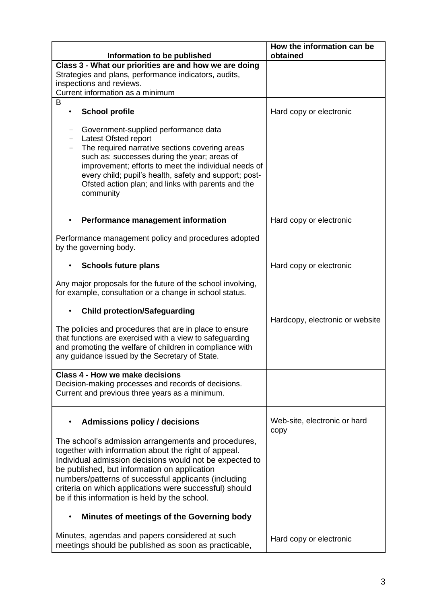|                                                                                                                                                                                                                                                                                                                                                                                           | How the information can be<br>obtained |
|-------------------------------------------------------------------------------------------------------------------------------------------------------------------------------------------------------------------------------------------------------------------------------------------------------------------------------------------------------------------------------------------|----------------------------------------|
| Information to be published<br>Class 3 - What our priorities are and how we are doing                                                                                                                                                                                                                                                                                                     |                                        |
| Strategies and plans, performance indicators, audits,                                                                                                                                                                                                                                                                                                                                     |                                        |
| inspections and reviews.                                                                                                                                                                                                                                                                                                                                                                  |                                        |
| Current information as a minimum                                                                                                                                                                                                                                                                                                                                                          |                                        |
| B                                                                                                                                                                                                                                                                                                                                                                                         |                                        |
| <b>School profile</b>                                                                                                                                                                                                                                                                                                                                                                     | Hard copy or electronic                |
| Government-supplied performance data<br>Latest Ofsted report<br>The required narrative sections covering areas<br>such as: successes during the year; areas of<br>improvement; efforts to meet the individual needs of<br>every child; pupil's health, safety and support; post-<br>Ofsted action plan; and links with parents and the<br>community                                       |                                        |
| Performance management information                                                                                                                                                                                                                                                                                                                                                        | Hard copy or electronic                |
| Performance management policy and procedures adopted<br>by the governing body.                                                                                                                                                                                                                                                                                                            |                                        |
| <b>Schools future plans</b>                                                                                                                                                                                                                                                                                                                                                               | Hard copy or electronic                |
| Any major proposals for the future of the school involving,<br>for example, consultation or a change in school status.                                                                                                                                                                                                                                                                    |                                        |
| <b>Child protection/Safeguarding</b>                                                                                                                                                                                                                                                                                                                                                      |                                        |
| The policies and procedures that are in place to ensure<br>that functions are exercised with a view to safeguarding<br>and promoting the welfare of children in compliance with<br>any guidance issued by the Secretary of State.                                                                                                                                                         | Hardcopy, electronic or website        |
| Class 4 - How we make decisions                                                                                                                                                                                                                                                                                                                                                           |                                        |
| Decision-making processes and records of decisions.<br>Current and previous three years as a minimum.                                                                                                                                                                                                                                                                                     |                                        |
| <b>Admissions policy / decisions</b>                                                                                                                                                                                                                                                                                                                                                      | Web-site, electronic or hard<br>copy   |
| The school's admission arrangements and procedures,<br>together with information about the right of appeal.<br>Individual admission decisions would not be expected to<br>be published, but information on application<br>numbers/patterns of successful applicants (including<br>criteria on which applications were successful) should<br>be if this information is held by the school. |                                        |
| Minutes of meetings of the Governing body                                                                                                                                                                                                                                                                                                                                                 |                                        |
| Minutes, agendas and papers considered at such<br>meetings should be published as soon as practicable,                                                                                                                                                                                                                                                                                    | Hard copy or electronic                |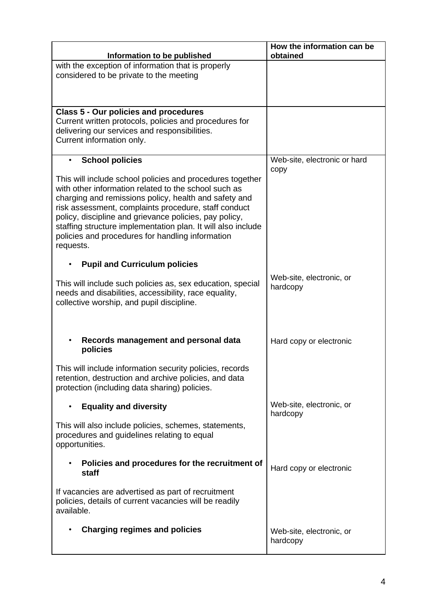| Information to be published                                                                                                                                                                                                                                                                                                                                                                                                   | How the information can be<br>obtained |
|-------------------------------------------------------------------------------------------------------------------------------------------------------------------------------------------------------------------------------------------------------------------------------------------------------------------------------------------------------------------------------------------------------------------------------|----------------------------------------|
| with the exception of information that is properly<br>considered to be private to the meeting                                                                                                                                                                                                                                                                                                                                 |                                        |
| <b>Class 5 - Our policies and procedures</b><br>Current written protocols, policies and procedures for<br>delivering our services and responsibilities.<br>Current information only.                                                                                                                                                                                                                                          |                                        |
| <b>School policies</b><br>$\bullet$                                                                                                                                                                                                                                                                                                                                                                                           | Web-site, electronic or hard<br>copy   |
| This will include school policies and procedures together<br>with other information related to the school such as<br>charging and remissions policy, health and safety and<br>risk assessment, complaints procedure, staff conduct<br>policy, discipline and grievance policies, pay policy,<br>staffing structure implementation plan. It will also include<br>policies and procedures for handling information<br>requests. |                                        |
| <b>Pupil and Curriculum policies</b><br>٠                                                                                                                                                                                                                                                                                                                                                                                     |                                        |
| This will include such policies as, sex education, special<br>needs and disabilities, accessibility, race equality,<br>collective worship, and pupil discipline.                                                                                                                                                                                                                                                              | Web-site, electronic, or<br>hardcopy   |
| Records management and personal data<br>policies                                                                                                                                                                                                                                                                                                                                                                              | Hard copy or electronic                |
| This will include information security policies, records<br>retention, destruction and archive policies, and data<br>protection (including data sharing) policies.                                                                                                                                                                                                                                                            |                                        |
| <b>Equality and diversity</b><br>$\bullet$                                                                                                                                                                                                                                                                                                                                                                                    | Web-site, electronic, or<br>hardcopy   |
| This will also include policies, schemes, statements,<br>procedures and guidelines relating to equal<br>opportunities.                                                                                                                                                                                                                                                                                                        |                                        |
| Policies and procedures for the recruitment of<br>$\bullet$<br>staff                                                                                                                                                                                                                                                                                                                                                          | Hard copy or electronic                |
| If vacancies are advertised as part of recruitment<br>policies, details of current vacancies will be readily<br>available.                                                                                                                                                                                                                                                                                                    |                                        |
| <b>Charging regimes and policies</b>                                                                                                                                                                                                                                                                                                                                                                                          | Web-site, electronic, or<br>hardcopy   |